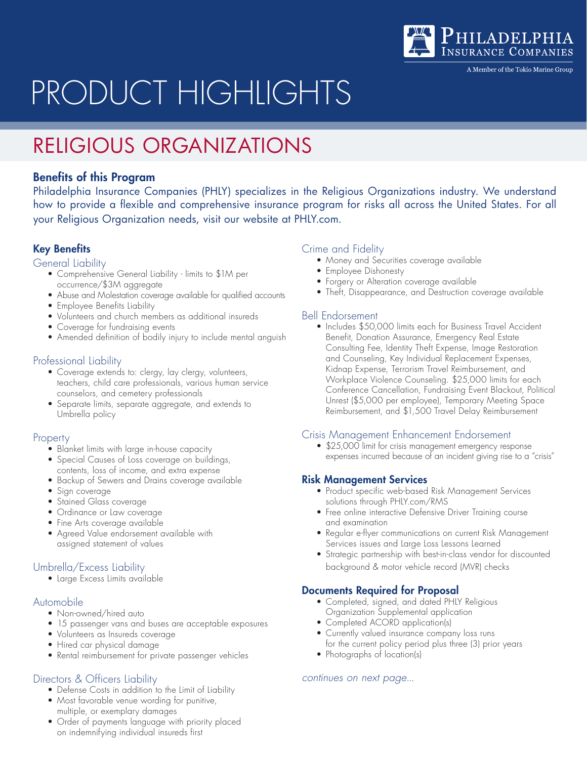

A Member of the Tokio Marine Group

# PRODUCT HIGHLIGHTS

# RELIGIOUS ORGANIZATIONS

#### Benefits of this Program

Philadelphia Insurance Companies (PHLY) specializes in the Religious Organizations industry. We understand how to provide a flexible and comprehensive insurance program for risks all across the United States. For all your Religious Organization needs, visit our website at PHLY.com.

#### Key Benefits

#### General Liability

- Comprehensive General Liability limits to \$1M per occurrence/\$3M aggregate
- Abuse and Molestation coverage available for qualified accounts
- Employee Benefits Liability
- Volunteers and church members as additional insureds
- Coverage for fundraising events
- Amended definition of bodily injury to include mental anguish

#### Professional Liability

- Coverage extends to: clergy, lay clergy, volunteers, teachers, child care professionals, various human service counselors, and cemetery professionals
- Separate limits, separate aggregate, and extends to Umbrella policy

#### **Property**

- Blanket limits with large in-house capacity
- Special Causes of Loss coverage on buildings, contents, loss of income, and extra expense
- Backup of Sewers and Drains coverage available
- Sign coverage
- Stained Glass coverage
- Ordinance or Law coverage
- Fine Arts coverage available
- Agreed Value endorsement available with assigned statement of values

#### Umbrella/Excess Liability

• Large Excess Limits available

#### Automobile

- Non-owned/hired auto
- 15 passenger vans and buses are acceptable exposures
- Volunteers as Insureds coverage
- Hired car physical damage
- Rental reimbursement for private passenger vehicles

#### Directors & Officers Liability

- Defense Costs in addition to the Limit of Liability
- Most favorable venue wording for punitive, multiple, or exemplary damages
- Order of payments language with priority placed on indemnifying individual insureds first

#### Crime and Fidelity

- Money and Securities coverage available
- Employee Dishonesty
- Forgery or Alteration coverage available
- Theft, Disappearance, and Destruction coverage available

#### Bell Endorsement

• Includes \$50,000 limits each for Business Travel Accident Benefit, Donation Assurance, Emergency Real Estate Consulting Fee, Identity Theft Expense, Image Restoration and Counseling, Key Individual Replacement Expenses, Kidnap Expense, Terrorism Travel Reimbursement, and Workplace Violence Counseling. \$25,000 limits for each Conference Cancellation, Fundraising Event Blackout, Political Unrest (\$5,000 per employee), Temporary Meeting Space Reimbursement, and \$1,500 Travel Delay Reimbursement

#### Crisis Management Enhancement Endorsement

• \$25,000 limit for crisis management emergency response expenses incurred because of an incident giving rise to a "crisis"

#### Risk Management Services

- Product specific web-based Risk Management Services solutions through PHLY.com/RMS
- Free online interactive Defensive Driver Training course and examination
- Regular e-flyer communications on current Risk Management Services issues and Large Loss Lessons Learned
- Strategic partnership with best-in-class vendor for discounted background & motor vehicle record (MVR) checks

#### Documents Required for Proposal

- Completed, signed, and dated PHLY Religious Organization Supplemental application
- Completed ACORD application(s)
- Currently valued insurance company loss runs for the current policy period plus three (3) prior years
- Photographs of location(s)

#### *continues on next page...*